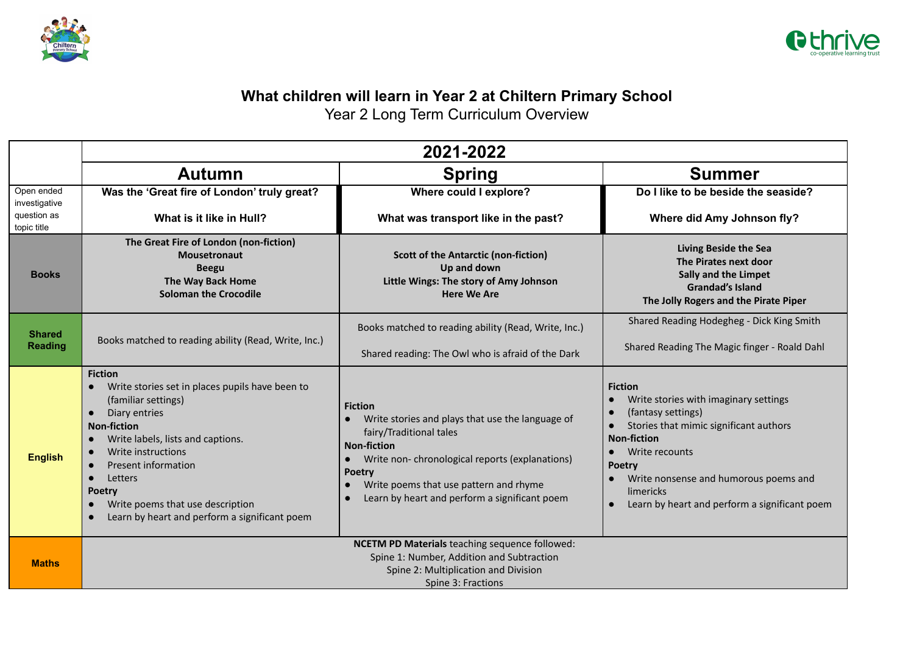



## **What children will learn in Year 2 at Chiltern Primary School**

Year 2 Long Term Curriculum Overview

|                                                           | 2021-2022                                                                                                                                                                                                                                                                                                                                                           |                                                                                                                                                                                                                                                                                                |                                                                                                                                                                                                                                                                                                                                             |  |  |  |
|-----------------------------------------------------------|---------------------------------------------------------------------------------------------------------------------------------------------------------------------------------------------------------------------------------------------------------------------------------------------------------------------------------------------------------------------|------------------------------------------------------------------------------------------------------------------------------------------------------------------------------------------------------------------------------------------------------------------------------------------------|---------------------------------------------------------------------------------------------------------------------------------------------------------------------------------------------------------------------------------------------------------------------------------------------------------------------------------------------|--|--|--|
|                                                           | <b>Autumn</b>                                                                                                                                                                                                                                                                                                                                                       | <b>Spring</b>                                                                                                                                                                                                                                                                                  | <b>Summer</b>                                                                                                                                                                                                                                                                                                                               |  |  |  |
| Open ended<br>investigative<br>question as<br>topic title | Was the 'Great fire of London' truly great?<br>What is it like in Hull?                                                                                                                                                                                                                                                                                             | Where could I explore?<br>What was transport like in the past?                                                                                                                                                                                                                                 | Do I like to be beside the seaside?<br>Where did Amy Johnson fly?                                                                                                                                                                                                                                                                           |  |  |  |
| <b>Books</b>                                              | The Great Fire of London (non-fiction)<br><b>Mousetronaut</b><br><b>Beegu</b><br>The Way Back Home<br><b>Soloman the Crocodile</b>                                                                                                                                                                                                                                  | <b>Scott of the Antarctic (non-fiction)</b><br>Up and down<br>Little Wings: The story of Amy Johnson<br><b>Here We Are</b>                                                                                                                                                                     | <b>Living Beside the Sea</b><br>The Pirates next door<br><b>Sally and the Limpet</b><br><b>Grandad's Island</b><br>The Jolly Rogers and the Pirate Piper                                                                                                                                                                                    |  |  |  |
| <b>Shared</b><br><b>Reading</b>                           | Books matched to reading ability (Read, Write, Inc.)                                                                                                                                                                                                                                                                                                                | Books matched to reading ability (Read, Write, Inc.)<br>Shared reading: The Owl who is afraid of the Dark                                                                                                                                                                                      | Shared Reading Hodegheg - Dick King Smith<br>Shared Reading The Magic finger - Roald Dahl                                                                                                                                                                                                                                                   |  |  |  |
| <b>English</b>                                            | <b>Fiction</b><br>Write stories set in places pupils have been to<br>(familiar settings)<br>Diary entries<br><b>Non-fiction</b><br>Write labels, lists and captions.<br>Write instructions<br><b>Present information</b><br>$\bullet$<br>Letters<br>$\bullet$<br><b>Poetry</b><br>Write poems that use description<br>Learn by heart and perform a significant poem | <b>Fiction</b><br>Write stories and plays that use the language of<br>fairy/Traditional tales<br><b>Non-fiction</b><br>Write non-chronological reports (explanations)<br>$\bullet$<br><b>Poetry</b><br>Write poems that use pattern and rhyme<br>Learn by heart and perform a significant poem | <b>Fiction</b><br>Write stories with imaginary settings<br>$\bullet$<br>(fantasy settings)<br>Stories that mimic significant authors<br>$\bullet$<br><b>Non-fiction</b><br>Write recounts<br>$\bullet$<br><b>Poetry</b><br>Write nonsense and humorous poems and<br>limericks<br>Learn by heart and perform a significant poem<br>$\bullet$ |  |  |  |
| <b>Maths</b>                                              | NCETM PD Materials teaching sequence followed:<br>Spine 1: Number, Addition and Subtraction<br>Spine 2: Multiplication and Division<br>Spine 3: Fractions                                                                                                                                                                                                           |                                                                                                                                                                                                                                                                                                |                                                                                                                                                                                                                                                                                                                                             |  |  |  |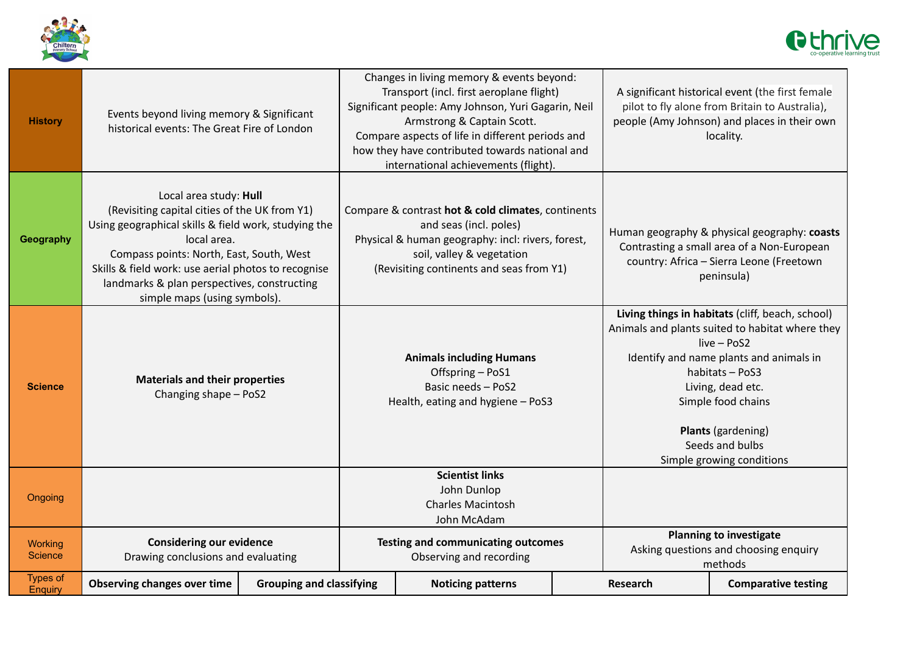



| <b>History</b>             | Events beyond living memory & Significant<br>historical events: The Great Fire of London                                                                                                                                                                                                                                         |                                 |                                                                                                                | Changes in living memory & events beyond:<br>Transport (incl. first aeroplane flight)<br>Significant people: Amy Johnson, Yuri Gagarin, Neil<br>Armstrong & Captain Scott.<br>Compare aspects of life in different periods and<br>how they have contributed towards national and<br>international achievements (flight). |          |                                                                                                                                                                                                                                                                                                   | A significant historical event (the first female<br>pilot to fly alone from Britain to Australia),<br>people (Amy Johnson) and places in their own<br>locality. |
|----------------------------|----------------------------------------------------------------------------------------------------------------------------------------------------------------------------------------------------------------------------------------------------------------------------------------------------------------------------------|---------------------------------|----------------------------------------------------------------------------------------------------------------|--------------------------------------------------------------------------------------------------------------------------------------------------------------------------------------------------------------------------------------------------------------------------------------------------------------------------|----------|---------------------------------------------------------------------------------------------------------------------------------------------------------------------------------------------------------------------------------------------------------------------------------------------------|-----------------------------------------------------------------------------------------------------------------------------------------------------------------|
| Geography                  | Local area study: Hull<br>(Revisiting capital cities of the UK from Y1)<br>Using geographical skills & field work, studying the<br>local area.<br>Compass points: North, East, South, West<br>Skills & field work: use aerial photos to recognise<br>landmarks & plan perspectives, constructing<br>simple maps (using symbols). |                                 |                                                                                                                | Compare & contrast hot & cold climates, continents<br>and seas (incl. poles)<br>Physical & human geography: incl: rivers, forest,<br>soil, valley & vegetation<br>(Revisiting continents and seas from Y1)                                                                                                               |          | Human geography & physical geography: coasts<br>Contrasting a small area of a Non-European<br>country: Africa - Sierra Leone (Freetown<br>peninsula)                                                                                                                                              |                                                                                                                                                                 |
| <b>Science</b>             | <b>Materials and their properties</b><br>Changing shape - PoS2                                                                                                                                                                                                                                                                   |                                 | <b>Animals including Humans</b><br>Offspring - PoS1<br>Basic needs - PoS2<br>Health, eating and hygiene - PoS3 |                                                                                                                                                                                                                                                                                                                          |          | Living things in habitats (cliff, beach, school)<br>Animals and plants suited to habitat where they<br>live - PoS2<br>Identify and name plants and animals in<br>habitats - PoS3<br>Living, dead etc.<br>Simple food chains<br>Plants (gardening)<br>Seeds and bulbs<br>Simple growing conditions |                                                                                                                                                                 |
| Ongoing                    |                                                                                                                                                                                                                                                                                                                                  |                                 | <b>Scientist links</b><br>John Dunlop<br><b>Charles Macintosh</b><br>John McAdam                               |                                                                                                                                                                                                                                                                                                                          |          |                                                                                                                                                                                                                                                                                                   |                                                                                                                                                                 |
| Working<br><b>Science</b>  | <b>Considering our evidence</b><br>Drawing conclusions and evaluating                                                                                                                                                                                                                                                            |                                 |                                                                                                                | <b>Testing and communicating outcomes</b><br>Observing and recording                                                                                                                                                                                                                                                     |          | <b>Planning to investigate</b><br>Asking questions and choosing enquiry<br>methods                                                                                                                                                                                                                |                                                                                                                                                                 |
| <b>Types of</b><br>Enquiry | <b>Observing changes over time</b>                                                                                                                                                                                                                                                                                               | <b>Grouping and classifying</b> | <b>Noticing patterns</b>                                                                                       |                                                                                                                                                                                                                                                                                                                          | Research | <b>Comparative testing</b>                                                                                                                                                                                                                                                                        |                                                                                                                                                                 |